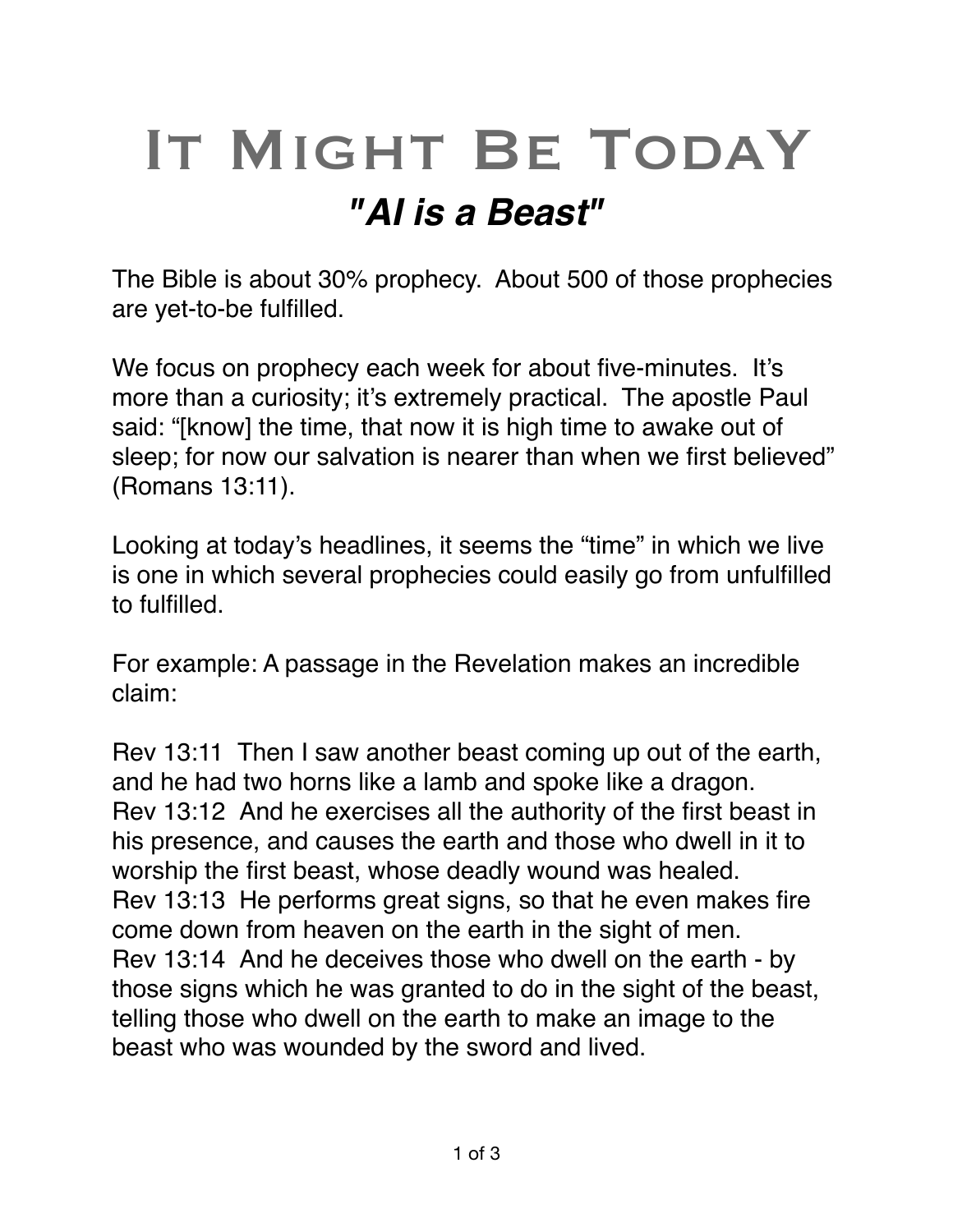## IT MIGHT BE TODAY *"AI is a Beast"*

The Bible is about 30% prophecy. About 500 of those prophecies are yet-to-be fulfilled.

We focus on prophecy each week for about five-minutes. It's more than a curiosity; it's extremely practical. The apostle Paul said: "[know] the time, that now it is high time to awake out of sleep; for now our salvation is nearer than when we first believed" (Romans 13:11).

Looking at today's headlines, it seems the "time" in which we live is one in which several prophecies could easily go from unfulfilled to fulfilled.

For example: A passage in the Revelation makes an incredible claim:

[Rev 13:11](verseid:66.13.11) Then I saw another beast coming up out of the earth, and he had two horns like a lamb and spoke like a dragon. [Rev 13:12](verseid:66.13.12) And he exercises all the authority of the first beast in his presence, and causes the earth and those who dwell in it to worship the first beast, whose deadly wound was healed. [Rev 13:13](verseid:66.13.13) He performs great signs, so that he even makes fire come down from heaven on the earth in the sight of men. [Rev 13:14](verseid:66.13.14) And he deceives those who dwell on the earth - by those signs which he was granted to do in the sight of the beast, telling those who dwell on the earth to make an image to the beast who was wounded by the sword and lived.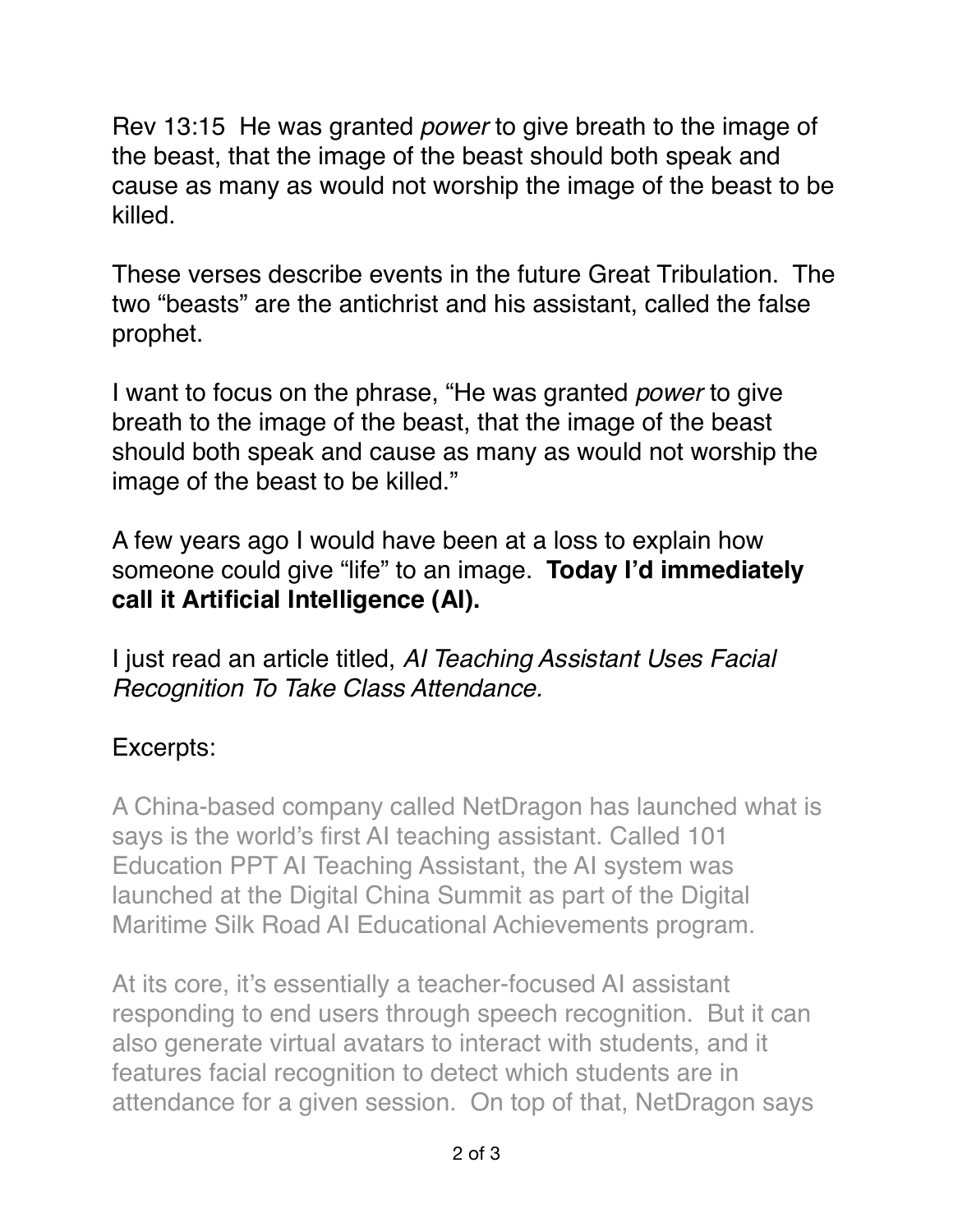[Rev 13:15](verseid:66.13.15) He was granted *power* to give breath to the image of the beast, that the image of the beast should both speak and cause as many as would not worship the image of the beast to be killed.

These verses describe events in the future Great Tribulation. The two "beasts" are the antichrist and his assistant, called the false prophet.

I want to focus on the phrase, "He was granted *power* to give breath to the image of the beast, that the image of the beast should both speak and cause as many as would not worship the image of the beast to be killed."

A few years ago I would have been at a loss to explain how someone could give "life" to an image. **Today I'd immediately call it Artificial Intelligence (AI).** 

I just read an article titled, *AI Teaching Assistant Uses Facial Recognition To Take Class Attendance.*

## Excerpts:

A China-based company called NetDragon has launched what is says is the world's first AI teaching assistant. Called 101 Education PPT AI Teaching Assistant, the AI system was launched at the Digital China Summit as part of the Digital Maritime Silk Road AI Educational Achievements program.

At its core, it's essentially a teacher-focused AI assistant responding to end users through speech recognition. But it can also generate virtual avatars to interact with students, and it features facial recognition to detect which students are in attendance for a given session. On top of that, NetDragon says